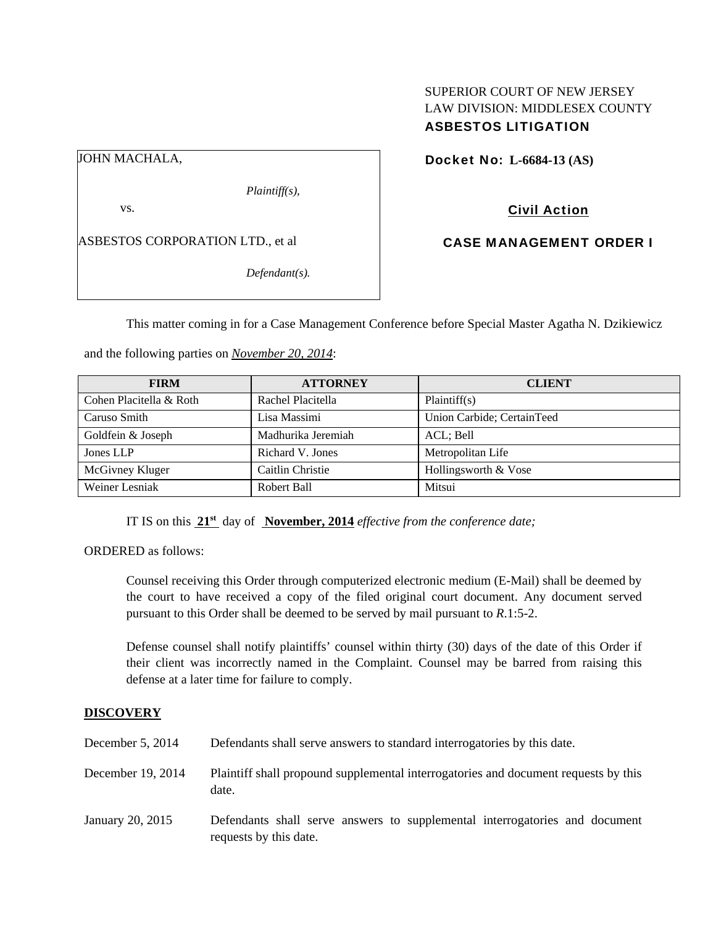## SUPERIOR COURT OF NEW JERSEY LAW DIVISION: MIDDLESEX COUNTY ASBESTOS LITIGATION

JOHN MACHALA,

*Plaintiff(s),* 

vs.

ASBESTOS CORPORATION LTD., et al

*Defendant(s).* 

Docket No: **L-6684-13 (AS)** 

Civil Action

CASE MANAGEMENT ORDER I

This matter coming in for a Case Management Conference before Special Master Agatha N. Dzikiewicz

and the following parties on *November 20, 2014*:

| <b>FIRM</b>             | <b>ATTORNEY</b>    | <b>CLIENT</b>              |
|-------------------------|--------------------|----------------------------|
| Cohen Placitella & Roth | Rachel Placitella  | Plaintiff(s)               |
| Caruso Smith            | Lisa Massimi       | Union Carbide; CertainTeed |
| Goldfein & Joseph       | Madhurika Jeremiah | ACL: Bell                  |
| Jones LLP               | Richard V. Jones   | Metropolitan Life          |
| McGivney Kluger         | Caitlin Christie   | Hollingsworth & Vose       |
| Weiner Lesniak          | Robert Ball        | Mitsui                     |

IT IS on this **21st** day of **November, 2014** *effective from the conference date;*

ORDERED as follows:

Counsel receiving this Order through computerized electronic medium (E-Mail) shall be deemed by the court to have received a copy of the filed original court document. Any document served pursuant to this Order shall be deemed to be served by mail pursuant to *R*.1:5-2.

Defense counsel shall notify plaintiffs' counsel within thirty (30) days of the date of this Order if their client was incorrectly named in the Complaint. Counsel may be barred from raising this defense at a later time for failure to comply.

## **DISCOVERY**

| December $5, 2014$ | Defendants shall serve answers to standard interrogatories by this date.                              |
|--------------------|-------------------------------------------------------------------------------------------------------|
| December 19, 2014  | Plaintiff shall propound supplemental interrogatories and document requests by this<br>date.          |
| January 20, 2015   | Defendants shall serve answers to supplemental interrogatories and document<br>requests by this date. |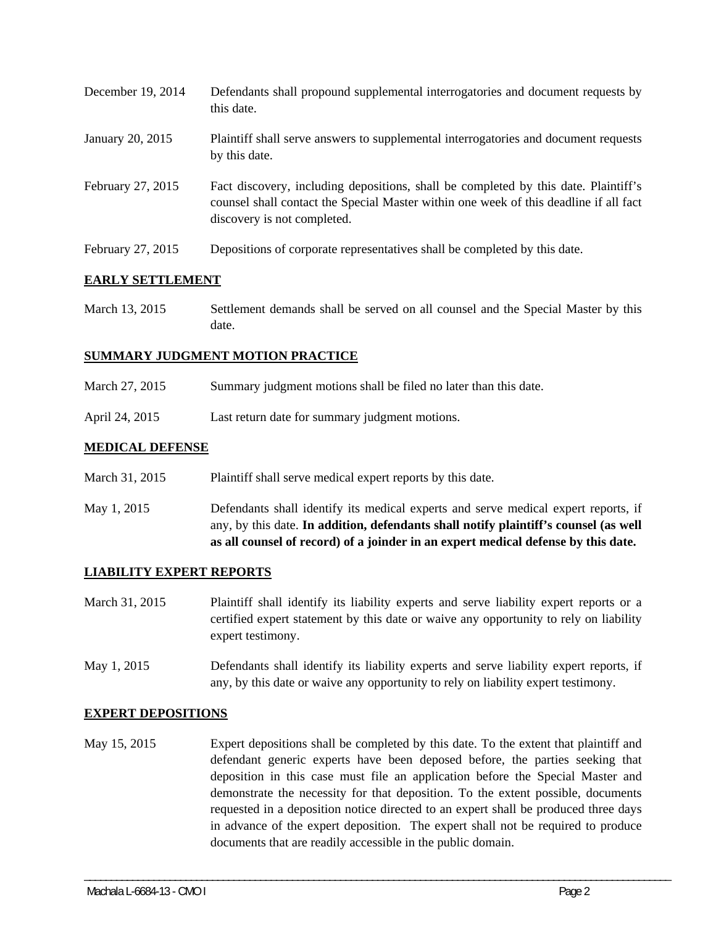| December 19, 2014 | Defendants shall propound supplemental interrogatories and document requests by<br>this date.                                                                                                               |
|-------------------|-------------------------------------------------------------------------------------------------------------------------------------------------------------------------------------------------------------|
| January 20, 2015  | Plaintiff shall serve answers to supplemental interrogatories and document requests<br>by this date.                                                                                                        |
| February 27, 2015 | Fact discovery, including depositions, shall be completed by this date. Plaintiff's<br>counsel shall contact the Special Master within one week of this deadline if all fact<br>discovery is not completed. |
| February 27, 2015 | Depositions of corporate representatives shall be completed by this date.                                                                                                                                   |

# **EARLY SETTLEMENT**

March 13, 2015 Settlement demands shall be served on all counsel and the Special Master by this date.

## **SUMMARY JUDGMENT MOTION PRACTICE**

- March 27, 2015 Summary judgment motions shall be filed no later than this date.
- April 24, 2015 Last return date for summary judgment motions.

# **MEDICAL DEFENSE**

- March 31, 2015 Plaint if shall serve medical expert reports by this date.
- May 1, 2015 Defendants shall identify its medical experts and serve medical expert reports, if any, by this date. **In addition, defendants shall notify plaintiff's counsel (as well as all counsel of record) of a joinder in an expert medical defense by this date.**

## **LIABILITY EXPERT REPORTS**

- March 31, 2015 Plaintiff shall identify its liability experts and serve liability expert reports or a certified expert statement by this date or waive any opportunity to rely on liability expert testimony.
- May 1, 2015 Defendants shall identify its liability experts and serve liability expert reports, if any, by this date or waive any opportunity to rely on liability expert testimony.

## **EXPERT DEPOSITIONS**

May 15, 2015 Expert depositions shall be completed by this date. To the extent that plaintiff and defendant generic experts have been deposed before, the parties seeking that deposition in this case must file an application before the Special Master and demonstrate the necessity for that deposition. To the extent possible, documents requested in a deposition notice directed to an expert shall be produced three days in advance of the expert deposition. The expert shall not be required to produce documents that are readily accessible in the public domain.

\_\_\_\_\_\_\_\_\_\_\_\_\_\_\_\_\_\_\_\_\_\_\_\_\_\_\_\_\_\_\_\_\_\_\_\_\_\_\_\_\_\_\_\_\_\_\_\_\_\_\_\_\_\_\_\_\_\_\_\_\_\_\_\_\_\_\_\_\_\_\_\_\_\_\_\_\_\_\_\_\_\_\_\_\_\_\_\_\_\_\_\_\_\_\_\_\_\_\_\_\_\_\_\_\_\_\_\_\_\_